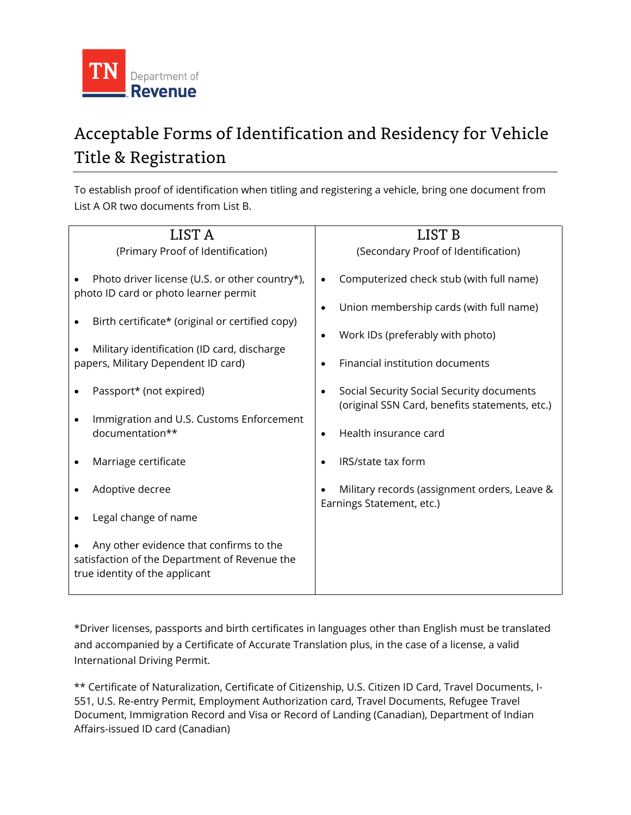

## Acceptable Forms of Identification and Residency for Vehicle Title & Registration

To establish proof of identification when titling and registering a vehicle, bring one document from List A OR two documents from List B.

| LIST A                                                                                                                                     | LIST B                                                                                                                                                         |  |
|--------------------------------------------------------------------------------------------------------------------------------------------|----------------------------------------------------------------------------------------------------------------------------------------------------------------|--|
| (Primary Proof of Identification)                                                                                                          | (Secondary Proof of Identification)                                                                                                                            |  |
| Photo driver license (U.S. or other country*),<br>photo ID card or photo learner permit<br>Birth certificate* (original or certified copy) | Computerized check stub (with full name)<br>$\bullet$<br>Union membership cards (with full name)<br>$\bullet$<br>Work IDs (preferably with photo)<br>$\bullet$ |  |
| Military identification (ID card, discharge<br>papers, Military Dependent ID card)                                                         | Financial institution documents<br>$\bullet$                                                                                                                   |  |
| Passport* (not expired)<br>Immigration and U.S. Customs Enforcement<br>documentation**                                                     | Social Security Social Security documents<br>(original SSN Card, benefits statements, etc.)<br>Health insurance card<br>$\bullet$                              |  |
|                                                                                                                                            |                                                                                                                                                                |  |
| Marriage certificate                                                                                                                       | IRS/state tax form                                                                                                                                             |  |
| Adoptive decree                                                                                                                            | Military records (assignment orders, Leave &<br>Earnings Statement, etc.)                                                                                      |  |
| Legal change of name                                                                                                                       |                                                                                                                                                                |  |
| Any other evidence that confirms to the<br>satisfaction of the Department of Revenue the<br>true identity of the applicant                 |                                                                                                                                                                |  |

\*Driver licenses, passports and birth certificates in languages other than English must be translated and accompanied by a Certificate of Accurate Translation plus, in the case of a license, a valid International Driving Permit.

\*\* Certificate of Naturalization, Certificate of Citizenship, U.S. Citizen ID Card, Travel Documents, I-551, U.S. Re-entry Permit, Employment Authorization card, Travel Documents, Refugee Travel Document, Immigration Record and Visa or Record of Landing (Canadian), Department of Indian Affairs-issued ID card (Canadian)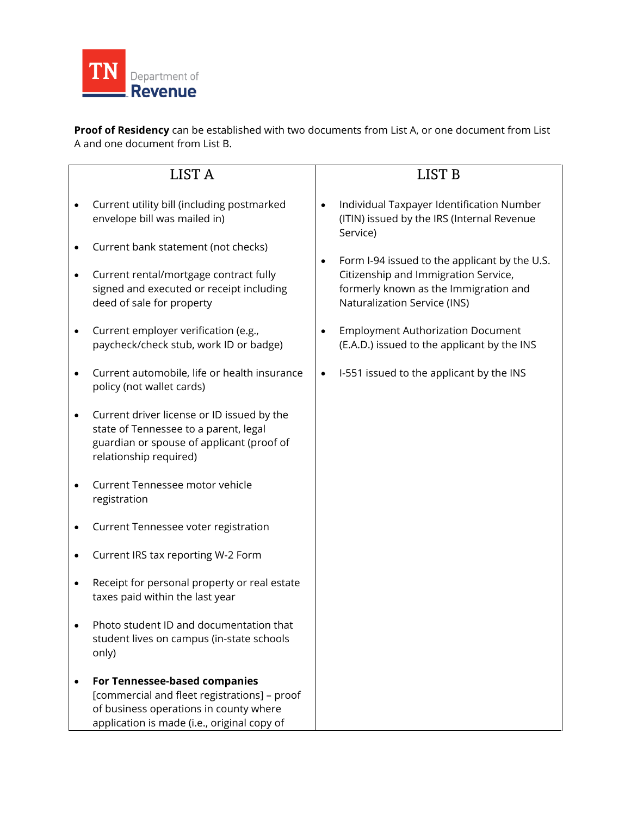

**Proof of Residency** can be established with two documents from List A, or one document from List A and one document from List B.

|           | LIST <sub>A</sub>                                                                                                                                                      |           | LIST <sub>B</sub>                                                                                                                                                                                                                                                                  |
|-----------|------------------------------------------------------------------------------------------------------------------------------------------------------------------------|-----------|------------------------------------------------------------------------------------------------------------------------------------------------------------------------------------------------------------------------------------------------------------------------------------|
|           | Current utility bill (including postmarked<br>envelope bill was mailed in)                                                                                             |           | Individual Taxpayer Identification Number<br>(ITIN) issued by the IRS (Internal Revenue<br>Service)<br>Form I-94 issued to the applicant by the U.S.<br>$\bullet$<br>Citizenship and Immigration Service,<br>formerly known as the Immigration and<br>Naturalization Service (INS) |
|           | Current bank statement (not checks)                                                                                                                                    |           |                                                                                                                                                                                                                                                                                    |
| $\bullet$ | Current rental/mortgage contract fully<br>signed and executed or receipt including<br>deed of sale for property                                                        |           |                                                                                                                                                                                                                                                                                    |
|           | Current employer verification (e.g.,<br>paycheck/check stub, work ID or badge)                                                                                         |           | <b>Employment Authorization Document</b><br>(E.A.D.) issued to the applicant by the INS                                                                                                                                                                                            |
|           | Current automobile, life or health insurance<br>policy (not wallet cards)                                                                                              | $\bullet$ | I-551 issued to the applicant by the INS                                                                                                                                                                                                                                           |
|           | Current driver license or ID issued by the<br>state of Tennessee to a parent, legal<br>guardian or spouse of applicant (proof of<br>relationship required)             |           |                                                                                                                                                                                                                                                                                    |
|           | Current Tennessee motor vehicle<br>registration                                                                                                                        |           |                                                                                                                                                                                                                                                                                    |
|           | Current Tennessee voter registration                                                                                                                                   |           |                                                                                                                                                                                                                                                                                    |
|           | Current IRS tax reporting W-2 Form                                                                                                                                     |           |                                                                                                                                                                                                                                                                                    |
|           | Receipt for personal property or real estate<br>taxes paid within the last year                                                                                        |           |                                                                                                                                                                                                                                                                                    |
|           | Photo student ID and documentation that<br>student lives on campus (in-state schools<br>only)                                                                          |           |                                                                                                                                                                                                                                                                                    |
|           | For Tennessee-based companies<br>[commercial and fleet registrations] - proof<br>of business operations in county where<br>application is made (i.e., original copy of |           |                                                                                                                                                                                                                                                                                    |